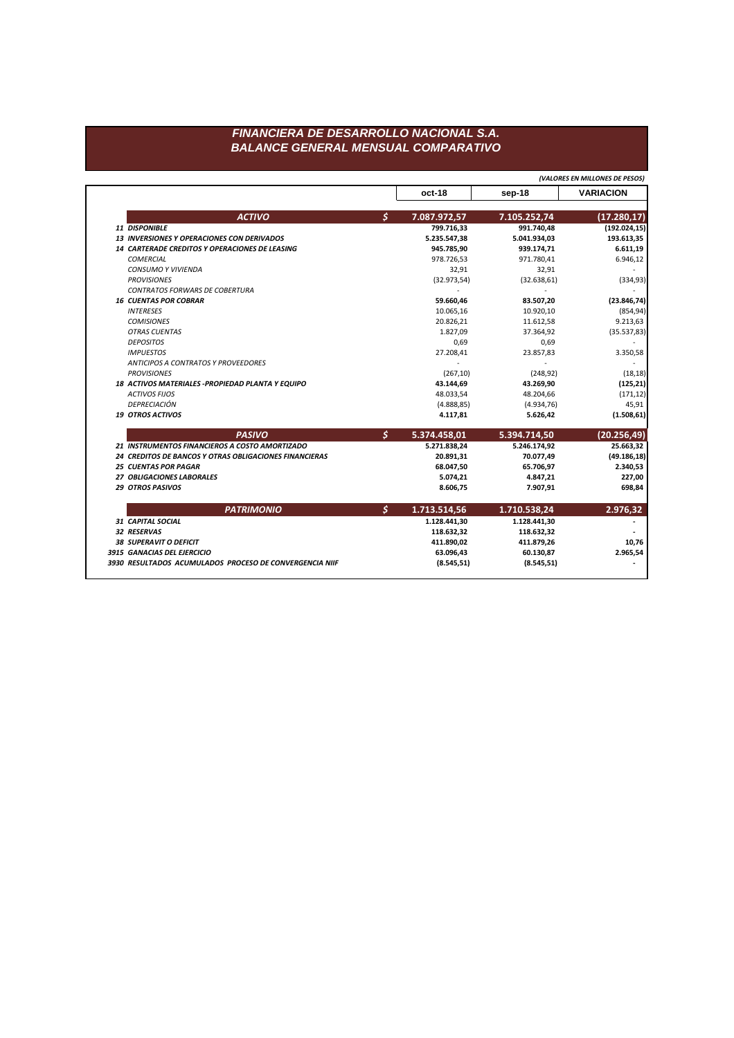## FINANCIERA DE DESARROLLO NACIONAL S.A. **BALANCE GENERAL MENSUAL COMPARATIVO**

(VALORES EN MILLONES DE PESOS) oct-18 **VARIACION** sep-18  $\mathsf{S}$  $(17.280, 17)$ **ACTIVO** 7.087.972,57 7.105.252,74  $(192.024, 15)$ 11 DISPONIBLE 799.716,33 991.740,48 13 INVERSIONES Y OPERACIONES CON DERIVADOS 193.613,35 5.235.547,38 5.041.934,03 14 CARTERADE CREDITOS Y OPERACIONES DE LEASING 945.785,90 939.174,71 6.611,19 **COMERCIAL** 978.726,53 971.780,41 6.946,12 CONSUMO Y VIVIENDA 32,91 32,91 **PROVISIONES**  $(32.973,54)$  $(32.638, 61)$  $(334, 93)$ CONTRATOS FORWARS DE COBERTURA  $\sim$  $\sim$ **16 CUENTAS POR COBRAR** 59.660,46 83.507,20  $(23.846, 74)$ 10.920,10  $(854, 94)$ **INTERESES** 10.065,16 **COMISIONES** 20.826,21 11.612,58 9.213,63 **OTRAS CUENTAS** 1.827,09  $(35.537, 83)$ 37.364,92 **DEPOSITOS** 0,69 0,69 3.350,58 **IMPUESTOS** 27.208,41 23.857,83 **ANTICIPOS A CONTRATOS Y PROVEEDORES**  $\sim$  $\sim$  $\sim$ **PROVISIONES**  $(267, 10)$  $(248, 92)$  $(18, 18)$ 18 ACTIVOS MATERIALES - PROPIEDAD PLANTA Y EQUIPO 43.144,69 43.269,90  $(125, 21)$ **ACTIVOS FIJOS**  $(171, 12)$ 48.033,54 48.204,66 DEPRECIACIÓN  $(4.888, 85)$  $(4.934, 76)$ 45,91 **19 OTROS ACTIVOS** 4.117,81 5.626,42  $(1.508, 61)$  $\mathsf{S}$ **PASIVO** 5.374.458,01 5.394.714,50  $(20.256, 49)$ 21 INSTRUMENTOS FINANCIEROS A COSTO AMORTIZADO 5.271.838,24 5.246.174,92 25.663,32 24 CREDITOS DE BANCOS Y OTRAS OBLIGACIONES FINANCIERAS 20.891,31 70.077,49  $(49.186, 18)$ **25 CUENTAS POR PAGAR** 68.047,50 65.706,97 2.340,53 27 OBLIGACIONES LABORALES 5.074,21 227,00 4.847,21 29 OTROS PASIVOS 8.606,75 7.907,91 698,84 **PATRIMONIO**  $\mathcal{S}$ 2.976,32 1.713.514,56 1.710.538,24 31 CAPITAL SOCIAL 1.128.441,30 1.128.441,30  $\overline{\phantom{a}}$ 32 RESERVAS 118.632,32 118.632,32  $\overline{\phantom{a}}$ **38 SUPERAVIT O DEFICIT** 411.890,02 411.879,26 10,76 3915 GANACIAS DEL EJERCICIO 60.130,87 63.096,43 2.965,54 3930 RESULTADOS ACUMULADOS PROCESO DE CONVERGENCIA NIIF  $(8.545, 51)$  $(8.545, 51)$  $\overline{\phantom{a}}$